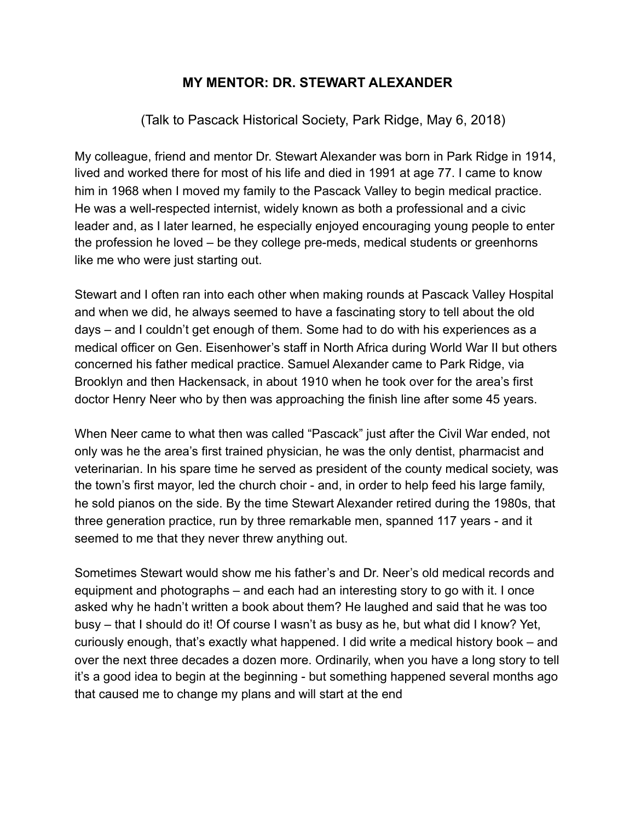## **MY MENTOR: DR. STEWART ALEXANDER**

(Talk to Pascack Historical Society, Park Ridge, May 6, 2018)

My colleague, friend and mentor Dr. Stewart Alexander was born in Park Ridge in 1914, lived and worked there for most of his life and died in 1991 at age 77. I came to know him in 1968 when I moved my family to the Pascack Valley to begin medical practice. He was a well-respected internist, widely known as both a professional and a civic leader and, as I later learned, he especially enjoyed encouraging young people to enter the profession he loved – be they college pre-meds, medical students or greenhorns like me who were just starting out.

Stewart and I often ran into each other when making rounds at Pascack Valley Hospital and when we did, he always seemed to have a fascinating story to tell about the old days – and I couldn't get enough of them. Some had to do with his experiences as a medical officer on Gen. Eisenhower's staff in North Africa during World War II but others concerned his father medical practice. Samuel Alexander came to Park Ridge, via Brooklyn and then Hackensack, in about 1910 when he took over for the area's first doctor Henry Neer who by then was approaching the finish line after some 45 years.

When Neer came to what then was called "Pascack" just after the Civil War ended, not only was he the area's first trained physician, he was the only dentist, pharmacist and veterinarian. In his spare time he served as president of the county medical society, was the town's first mayor, led the church choir - and, in order to help feed his large family, he sold pianos on the side. By the time Stewart Alexander retired during the 1980s, that three generation practice, run by three remarkable men, spanned 117 years - and it seemed to me that they never threw anything out.

Sometimes Stewart would show me his father's and Dr. Neer's old medical records and equipment and photographs – and each had an interesting story to go with it. I once asked why he hadn't written a book about them? He laughed and said that he was too busy – that I should do it! Of course I wasn't as busy as he, but what did I know? Yet, curiously enough, that's exactly what happened. I did write a medical history book – and over the next three decades a dozen more. Ordinarily, when you have a long story to tell it's a good idea to begin at the beginning - but something happened several months ago that caused me to change my plans and will start at the end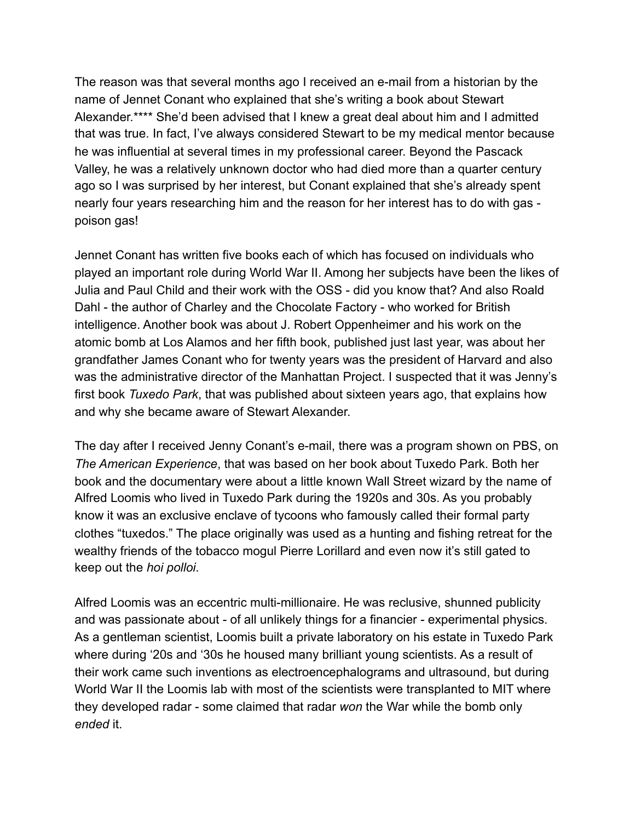The reason was that several months ago I received an e-mail from a historian by the name of Jennet Conant who explained that she's writing a book about Stewart Alexander.\*\*\*\* She'd been advised that I knew a great deal about him and I admitted that was true. In fact, I've always considered Stewart to be my medical mentor because he was influential at several times in my professional career. Beyond the Pascack Valley, he was a relatively unknown doctor who had died more than a quarter century ago so I was surprised by her interest, but Conant explained that she's already spent nearly four years researching him and the reason for her interest has to do with gas poison gas!

Jennet Conant has written five books each of which has focused on individuals who played an important role during World War II. Among her subjects have been the likes of Julia and Paul Child and their work with the OSS - did you know that? And also Roald Dahl - the author of Charley and the Chocolate Factory - who worked for British intelligence. Another book was about J. Robert Oppenheimer and his work on the atomic bomb at Los Alamos and her fifth book, published just last year, was about her grandfather James Conant who for twenty years was the president of Harvard and also was the administrative director of the Manhattan Project. I suspected that it was Jenny's first book *Tuxedo Park*, that was published about sixteen years ago, that explains how and why she became aware of Stewart Alexander.

The day after I received Jenny Conant's e-mail, there was a program shown on PBS, on *The American Experience*, that was based on her book about Tuxedo Park. Both her book and the documentary were about a little known Wall Street wizard by the name of Alfred Loomis who lived in Tuxedo Park during the 1920s and 30s. As you probably know it was an exclusive enclave of tycoons who famously called their formal party clothes "tuxedos." The place originally was used as a hunting and fishing retreat for the wealthy friends of the tobacco mogul Pierre Lorillard and even now it's still gated to keep out the *hoi polloi*.

Alfred Loomis was an eccentric multi-millionaire. He was reclusive, shunned publicity and was passionate about - of all unlikely things for a financier - experimental physics. As a gentleman scientist, Loomis built a private laboratory on his estate in Tuxedo Park where during '20s and '30s he housed many brilliant young scientists. As a result of their work came such inventions as electroencephalograms and ultrasound, but during World War II the Loomis lab with most of the scientists were transplanted to MIT where they developed radar - some claimed that radar *won* the War while the bomb only *ended* it.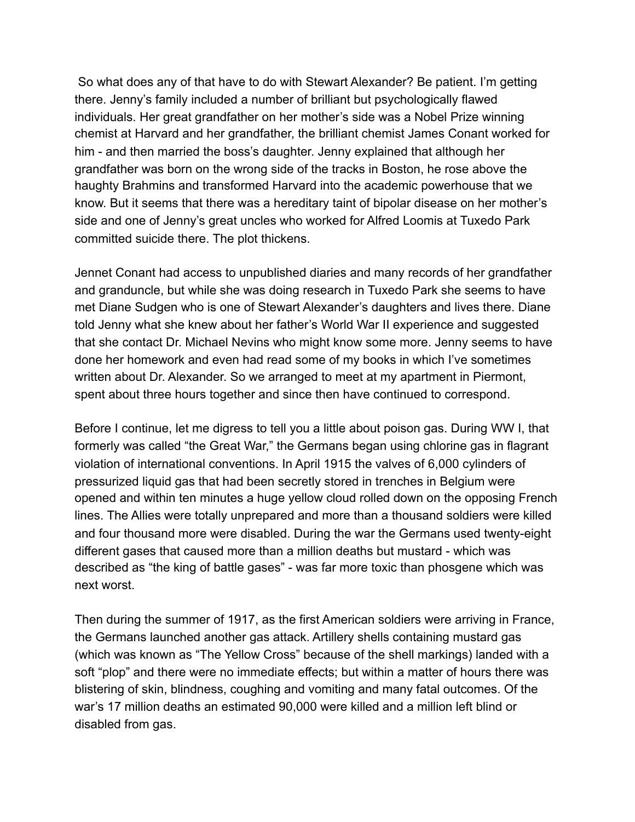So what does any of that have to do with Stewart Alexander? Be patient. I'm getting there. Jenny's family included a number of brilliant but psychologically flawed individuals. Her great grandfather on her mother's side was a Nobel Prize winning chemist at Harvard and her grandfather, the brilliant chemist James Conant worked for him - and then married the boss's daughter. Jenny explained that although her grandfather was born on the wrong side of the tracks in Boston, he rose above the haughty Brahmins and transformed Harvard into the academic powerhouse that we know. But it seems that there was a hereditary taint of bipolar disease on her mother's side and one of Jenny's great uncles who worked for Alfred Loomis at Tuxedo Park committed suicide there. The plot thickens.

Jennet Conant had access to unpublished diaries and many records of her grandfather and granduncle, but while she was doing research in Tuxedo Park she seems to have met Diane Sudgen who is one of Stewart Alexander's daughters and lives there. Diane told Jenny what she knew about her father's World War II experience and suggested that she contact Dr. Michael Nevins who might know some more. Jenny seems to have done her homework and even had read some of my books in which I've sometimes written about Dr. Alexander. So we arranged to meet at my apartment in Piermont, spent about three hours together and since then have continued to correspond.

Before I continue, let me digress to tell you a little about poison gas. During WW I, that formerly was called "the Great War," the Germans began using chlorine gas in flagrant violation of international conventions. In April 1915 the valves of 6,000 cylinders of pressurized liquid gas that had been secretly stored in trenches in Belgium were opened and within ten minutes a huge yellow cloud rolled down on the opposing French lines. The Allies were totally unprepared and more than a thousand soldiers were killed and four thousand more were disabled. During the war the Germans used twenty-eight different gases that caused more than a million deaths but mustard - which was described as "the king of battle gases" - was far more toxic than phosgene which was next worst.

Then during the summer of 1917, as the first American soldiers were arriving in France, the Germans launched another gas attack. Artillery shells containing mustard gas (which was known as "The Yellow Cross" because of the shell markings) landed with a soft "plop" and there were no immediate effects; but within a matter of hours there was blistering of skin, blindness, coughing and vomiting and many fatal outcomes. Of the war's 17 million deaths an estimated 90,000 were killed and a million left blind or disabled from gas.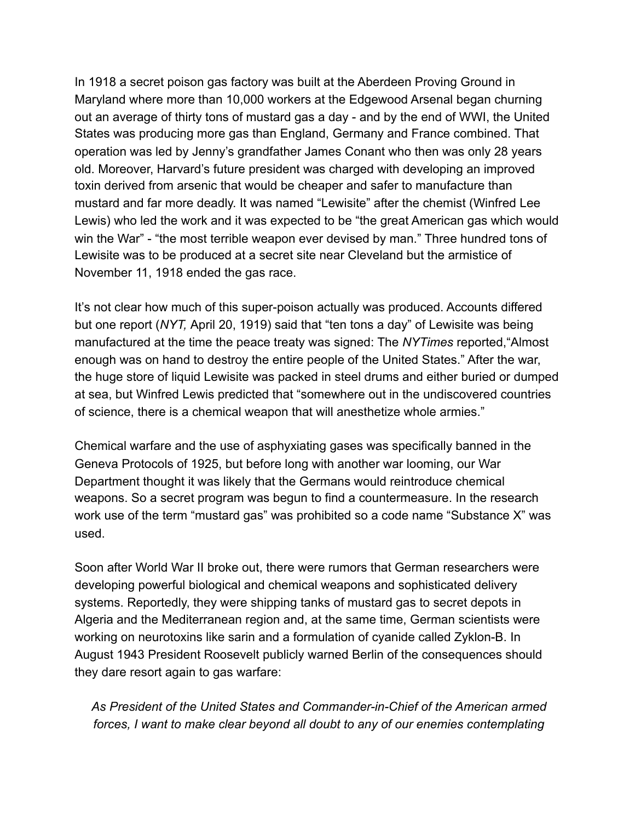In 1918 a secret poison gas factory was built at the Aberdeen Proving Ground in Maryland where more than 10,000 workers at the Edgewood Arsenal began churning out an average of thirty tons of mustard gas a day - and by the end of WWI, the United States was producing more gas than England, Germany and France combined. That operation was led by Jenny's grandfather James Conant who then was only 28 years old. Moreover, Harvard's future president was charged with developing an improved toxin derived from arsenic that would be cheaper and safer to manufacture than mustard and far more deadly. It was named "Lewisite" after the chemist (Winfred Lee Lewis) who led the work and it was expected to be "the great American gas which would win the War" - "the most terrible weapon ever devised by man." Three hundred tons of Lewisite was to be produced at a secret site near Cleveland but the armistice of November 11, 1918 ended the gas race.

It's not clear how much of this super-poison actually was produced. Accounts differed but one report (*NYT,* April 20, 1919) said that "ten tons a day" of Lewisite was being manufactured at the time the peace treaty was signed: The *NYTimes* reported,"Almost enough was on hand to destroy the entire people of the United States." After the war, the huge store of liquid Lewisite was packed in steel drums and either buried or dumped at sea, but Winfred Lewis predicted that "somewhere out in the undiscovered countries of science, there is a chemical weapon that will anesthetize whole armies."

Chemical warfare and the use of asphyxiating gases was specifically banned in the Geneva Protocols of 1925, but before long with another war looming, our War Department thought it was likely that the Germans would reintroduce chemical weapons. So a secret program was begun to find a countermeasure. In the research work use of the term "mustard gas" was prohibited so a code name "Substance X" was used.

Soon after World War II broke out, there were rumors that German researchers were developing powerful biological and chemical weapons and sophisticated delivery systems. Reportedly, they were shipping tanks of mustard gas to secret depots in Algeria and the Mediterranean region and, at the same time, German scientists were working on neurotoxins like sarin and a formulation of cyanide called Zyklon-B. In August 1943 President Roosevelt publicly warned Berlin of the consequences should they dare resort again to gas warfare:

 *As President of the United States and Commander-in-Chief of the American armed forces, I want to make clear beyond all doubt to any of our enemies contemplating*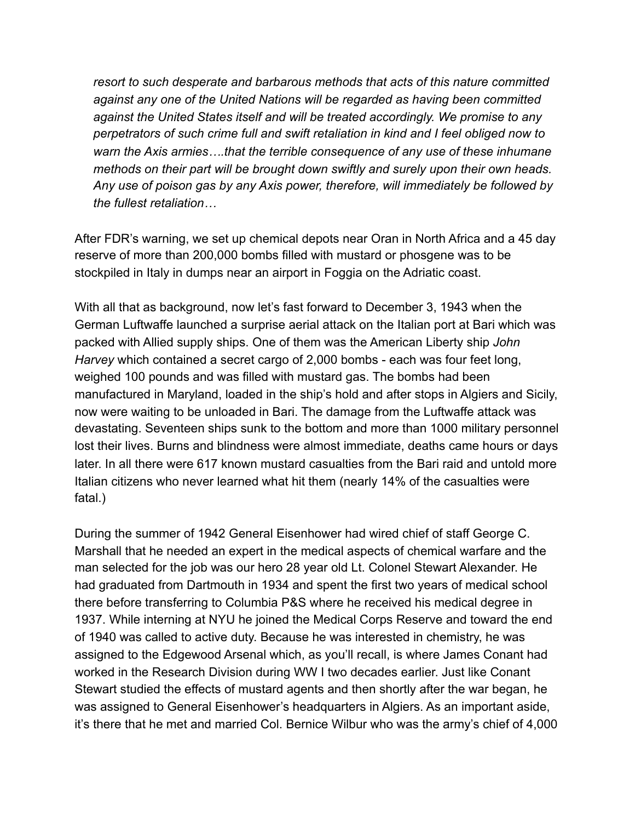*resort to such desperate and barbarous methods that acts of this nature committed against any one of the United Nations will be regarded as having been committed against the United States itself and will be treated accordingly. We promise to any perpetrators of such crime full and swift retaliation in kind and I feel obliged now to warn the Axis armies….that the terrible consequence of any use of these inhumane methods on their part will be brought down swiftly and surely upon their own heads. Any use of poison gas by any Axis power, therefore, will immediately be followed by the fullest retaliation…*

After FDR's warning, we set up chemical depots near Oran in North Africa and a 45 day reserve of more than 200,000 bombs filled with mustard or phosgene was to be stockpiled in Italy in dumps near an airport in Foggia on the Adriatic coast.

With all that as background, now let's fast forward to December 3, 1943 when the German Luftwaffe launched a surprise aerial attack on the Italian port at Bari which was packed with Allied supply ships. One of them was the American Liberty ship *John Harvey* which contained a secret cargo of 2,000 bombs - each was four feet long, weighed 100 pounds and was filled with mustard gas. The bombs had been manufactured in Maryland, loaded in the ship's hold and after stops in Algiers and Sicily, now were waiting to be unloaded in Bari. The damage from the Luftwaffe attack was devastating. Seventeen ships sunk to the bottom and more than 1000 military personnel lost their lives. Burns and blindness were almost immediate, deaths came hours or days later. In all there were 617 known mustard casualties from the Bari raid and untold more Italian citizens who never learned what hit them (nearly 14% of the casualties were fatal.)

During the summer of 1942 General Eisenhower had wired chief of staff George C. Marshall that he needed an expert in the medical aspects of chemical warfare and the man selected for the job was our hero 28 year old Lt. Colonel Stewart Alexander. He had graduated from Dartmouth in 1934 and spent the first two years of medical school there before transferring to Columbia P&S where he received his medical degree in 1937. While interning at NYU he joined the Medical Corps Reserve and toward the end of 1940 was called to active duty. Because he was interested in chemistry, he was assigned to the Edgewood Arsenal which, as you'll recall, is where James Conant had worked in the Research Division during WW I two decades earlier. Just like Conant Stewart studied the effects of mustard agents and then shortly after the war began, he was assigned to General Eisenhower's headquarters in Algiers. As an important aside, it's there that he met and married Col. Bernice Wilbur who was the army's chief of 4,000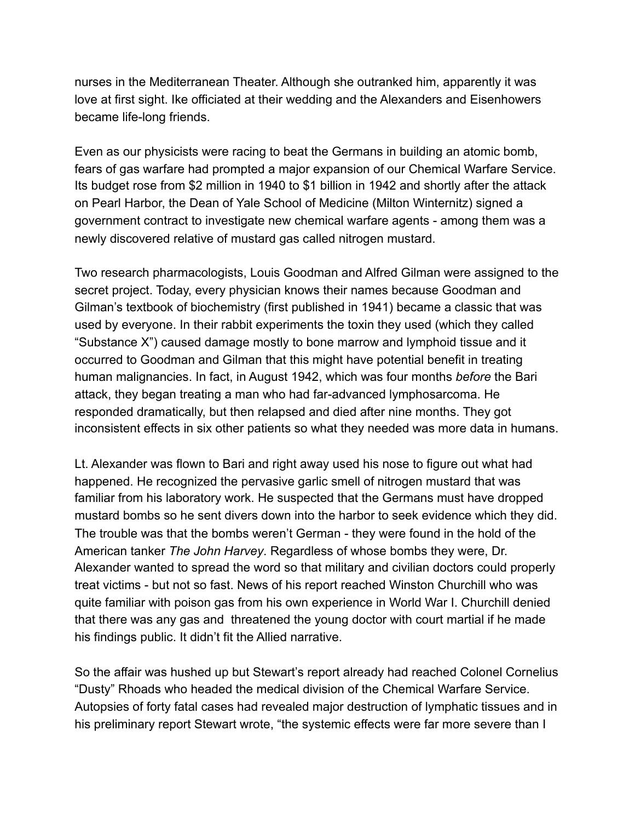nurses in the Mediterranean Theater. Although she outranked him, apparently it was love at first sight. Ike officiated at their wedding and the Alexanders and Eisenhowers became life-long friends.

Even as our physicists were racing to beat the Germans in building an atomic bomb, fears of gas warfare had prompted a major expansion of our Chemical Warfare Service. Its budget rose from \$2 million in 1940 to \$1 billion in 1942 and shortly after the attack on Pearl Harbor, the Dean of Yale School of Medicine (Milton Winternitz) signed a government contract to investigate new chemical warfare agents - among them was a newly discovered relative of mustard gas called nitrogen mustard.

Two research pharmacologists, Louis Goodman and Alfred Gilman were assigned to the secret project. Today, every physician knows their names because Goodman and Gilman's textbook of biochemistry (first published in 1941) became a classic that was used by everyone. In their rabbit experiments the toxin they used (which they called "Substance X") caused damage mostly to bone marrow and lymphoid tissue and it occurred to Goodman and Gilman that this might have potential benefit in treating human malignancies. In fact, in August 1942, which was four months *before* the Bari attack, they began treating a man who had far-advanced lymphosarcoma. He responded dramatically, but then relapsed and died after nine months. They got inconsistent effects in six other patients so what they needed was more data in humans.

Lt. Alexander was flown to Bari and right away used his nose to figure out what had happened. He recognized the pervasive garlic smell of nitrogen mustard that was familiar from his laboratory work. He suspected that the Germans must have dropped mustard bombs so he sent divers down into the harbor to seek evidence which they did. The trouble was that the bombs weren't German - they were found in the hold of the American tanker *The John Harvey*. Regardless of whose bombs they were, Dr. Alexander wanted to spread the word so that military and civilian doctors could properly treat victims - but not so fast. News of his report reached Winston Churchill who was quite familiar with poison gas from his own experience in World War I. Churchill denied that there was any gas and threatened the young doctor with court martial if he made his findings public. It didn't fit the Allied narrative.

So the affair was hushed up but Stewart's report already had reached Colonel Cornelius "Dusty" Rhoads who headed the medical division of the Chemical Warfare Service. Autopsies of forty fatal cases had revealed major destruction of lymphatic tissues and in his preliminary report Stewart wrote, "the systemic effects were far more severe than I